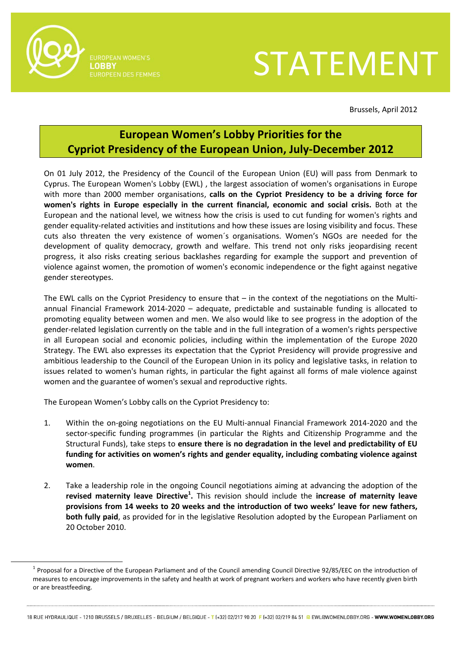

 $\overline{a}$ 

**IUROPEAN WOMEN'S** ORRY

## STATEMENT

Brussels, April 2012

## **European Women's Lobby Priorities for the Cypriot Presidency of the European Union, July-December 2012**

On 01 July 2012, the Presidency of the Council of the European Union (EU) will pass from Denmark to Cyprus. The European Women's Lobby (EWL) , the largest association of women's organisations in Europe with more than 2000 member organisations, **calls on the Cypriot Presidency to be a driving force for women's rights in Europe especially in the current financial, economic and social crisis.** Both at the European and the national level, we witness how the crisis is used to cut funding for women's rights and gender equality-related activities and institutions and how these issues are losing visibility and focus. These cuts also threaten the very existence of women´s organisations. Women's NGOs are needed for the development of quality democracy, growth and welfare. This trend not only risks jeopardising recent progress, it also risks creating serious backlashes regarding for example the support and prevention of violence against women, the promotion of women's economic independence or the fight against negative gender stereotypes.

The EWL calls on the Cypriot Presidency to ensure that – in the context of the negotiations on the Multiannual Financial Framework 2014-2020 – adequate, predictable and sustainable funding is allocated to promoting equality between women and men. We also would like to see progress in the adoption of the gender-related legislation currently on the table and in the full integration of a women's rights perspective in all European social and economic policies, including within the implementation of the Europe 2020 Strategy. The EWL also expresses its expectation that the Cypriot Presidency will provide progressive and ambitious leadership to the Council of the European Union in its policy and legislative tasks, in relation to issues related to women's human rights, in particular the fight against all forms of male violence against women and the guarantee of women's sexual and reproductive rights.

The European Women's Lobby calls on the Cypriot Presidency to:

- 1. Within the on-going negotiations on the EU Multi-annual Financial Framework 2014-2020 and the sector-specific funding programmes (in particular the Rights and Citizenship Programme and the Structural Funds), take steps to **ensure there is no degradation in the level and predictability of EU funding for activities on women's rights and gender equality, including combating violence against women**.
- 2. Take a leadership role in the ongoing Council negotiations aiming at advancing the adoption of the **revised maternity leave Directive<sup>1</sup> .** This revision should include the **increase of maternity leave provisions from 14 weeks to 20 weeks and the introduction of two weeks' leave for new fathers, both fully paid**, as provided for in the legislative Resolution adopted by the European Parliament on 20 October 2010.

 $^1$  Proposal for a Directive of the European Parliament and of the Council amending Council Directive 92/85/EEC on the introduction of measures to encourage improvements in the safety and health at work of pregnant workers and workers who have recently given birth or are breastfeeding.